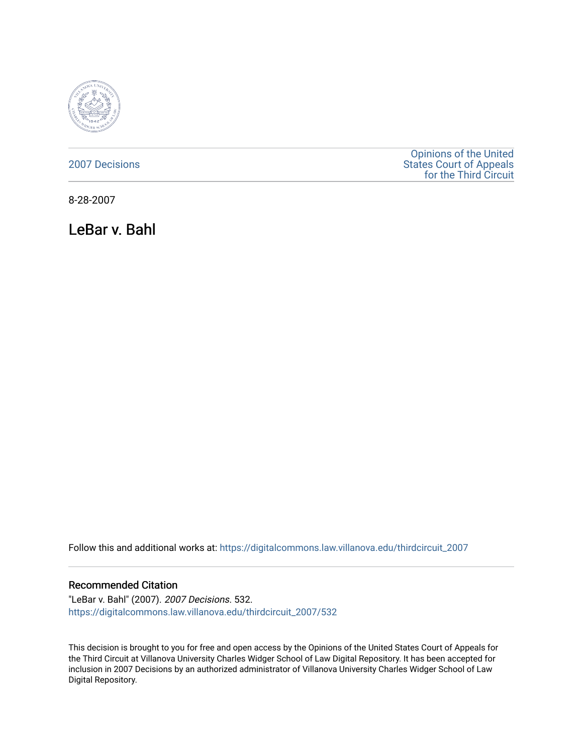

[2007 Decisions](https://digitalcommons.law.villanova.edu/thirdcircuit_2007)

[Opinions of the United](https://digitalcommons.law.villanova.edu/thirdcircuit)  [States Court of Appeals](https://digitalcommons.law.villanova.edu/thirdcircuit)  [for the Third Circuit](https://digitalcommons.law.villanova.edu/thirdcircuit) 

8-28-2007

LeBar v. Bahl

Follow this and additional works at: [https://digitalcommons.law.villanova.edu/thirdcircuit\\_2007](https://digitalcommons.law.villanova.edu/thirdcircuit_2007?utm_source=digitalcommons.law.villanova.edu%2Fthirdcircuit_2007%2F532&utm_medium=PDF&utm_campaign=PDFCoverPages) 

#### Recommended Citation

"LeBar v. Bahl" (2007). 2007 Decisions. 532. [https://digitalcommons.law.villanova.edu/thirdcircuit\\_2007/532](https://digitalcommons.law.villanova.edu/thirdcircuit_2007/532?utm_source=digitalcommons.law.villanova.edu%2Fthirdcircuit_2007%2F532&utm_medium=PDF&utm_campaign=PDFCoverPages)

This decision is brought to you for free and open access by the Opinions of the United States Court of Appeals for the Third Circuit at Villanova University Charles Widger School of Law Digital Repository. It has been accepted for inclusion in 2007 Decisions by an authorized administrator of Villanova University Charles Widger School of Law Digital Repository.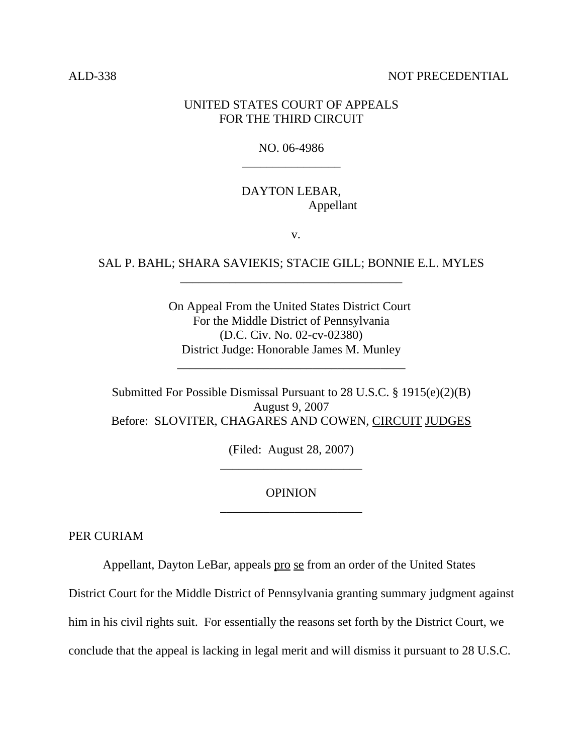### ALD-338 NOT PRECEDENTIAL

## UNITED STATES COURT OF APPEALS FOR THE THIRD CIRCUIT

# NO. 06-4986 \_\_\_\_\_\_\_\_\_\_\_\_\_\_\_\_

# DAYTON LEBAR, Appellant

v.

# SAL P. BAHL; SHARA SAVIEKIS; STACIE GILL; BONNIE E.L. MYLES \_\_\_\_\_\_\_\_\_\_\_\_\_\_\_\_\_\_\_\_\_\_\_\_\_\_\_\_\_\_\_\_\_\_\_\_

On Appeal From the United States District Court For the Middle District of Pennsylvania (D.C. Civ. No. 02-cv-02380) District Judge: Honorable James M. Munley

\_\_\_\_\_\_\_\_\_\_\_\_\_\_\_\_\_\_\_\_\_\_\_\_\_\_\_\_\_\_\_\_\_\_\_\_\_

Submitted For Possible Dismissal Pursuant to 28 U.S.C. § 1915(e)(2)(B) August 9, 2007 Before: SLOVITER, CHAGARES AND COWEN, CIRCUIT JUDGES

> (Filed: August 28, 2007) \_\_\_\_\_\_\_\_\_\_\_\_\_\_\_\_\_\_\_\_\_\_\_

# OPINION \_\_\_\_\_\_\_\_\_\_\_\_\_\_\_\_\_\_\_\_\_\_\_

PER CURIAM

Appellant, Dayton LeBar, appeals pro se from an order of the United States

District Court for the Middle District of Pennsylvania granting summary judgment against

him in his civil rights suit. For essentially the reasons set forth by the District Court, we

conclude that the appeal is lacking in legal merit and will dismiss it pursuant to 28 U.S.C.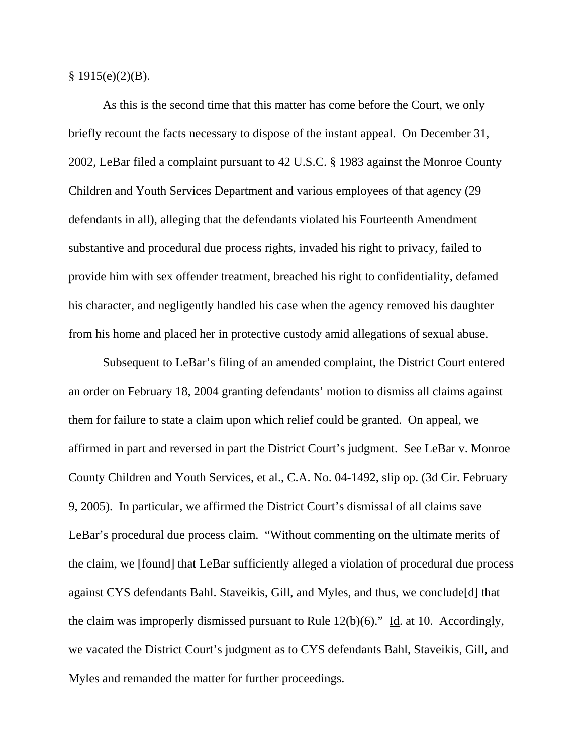$§ 1915(e)(2)(B).$ 

As this is the second time that this matter has come before the Court, we only briefly recount the facts necessary to dispose of the instant appeal. On December 31, 2002, LeBar filed a complaint pursuant to 42 U.S.C. § 1983 against the Monroe County Children and Youth Services Department and various employees of that agency (29 defendants in all), alleging that the defendants violated his Fourteenth Amendment substantive and procedural due process rights, invaded his right to privacy, failed to provide him with sex offender treatment, breached his right to confidentiality, defamed his character, and negligently handled his case when the agency removed his daughter from his home and placed her in protective custody amid allegations of sexual abuse.

Subsequent to LeBar's filing of an amended complaint, the District Court entered an order on February 18, 2004 granting defendants' motion to dismiss all claims against them for failure to state a claim upon which relief could be granted. On appeal, we affirmed in part and reversed in part the District Court's judgment. See LeBar v. Monroe County Children and Youth Services, et al., C.A. No. 04-1492, slip op. (3d Cir. February 9, 2005). In particular, we affirmed the District Court's dismissal of all claims save LeBar's procedural due process claim. "Without commenting on the ultimate merits of the claim, we [found] that LeBar sufficiently alleged a violation of procedural due process against CYS defendants Bahl. Staveikis, Gill, and Myles, and thus, we conclude[d] that the claim was improperly dismissed pursuant to Rule  $12(b)(6)$ ." Id. at 10. Accordingly, we vacated the District Court's judgment as to CYS defendants Bahl, Staveikis, Gill, and Myles and remanded the matter for further proceedings.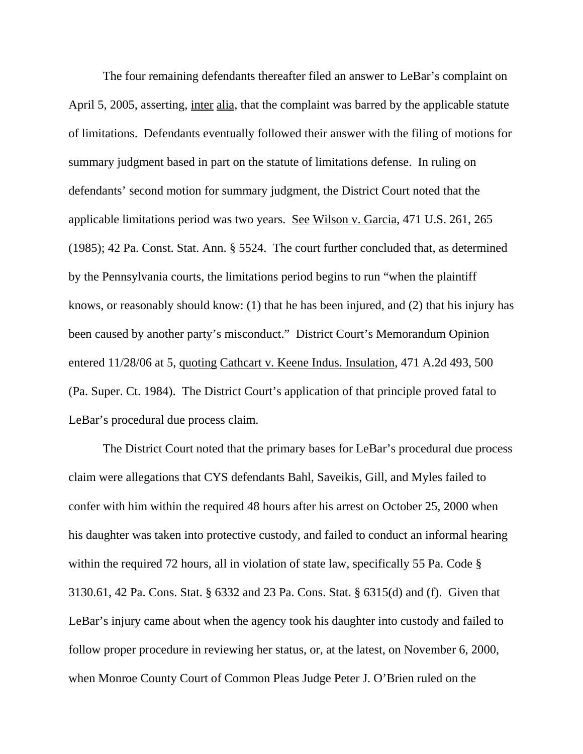The four remaining defendants thereafter filed an answer to LeBar's complaint on April 5, 2005, asserting, inter alia, that the complaint was barred by the applicable statute of limitations. Defendants eventually followed their answer with the filing of motions for summary judgment based in part on the statute of limitations defense. In ruling on defendants' second motion for summary judgment, the District Court noted that the applicable limitations period was two years. See Wilson v. Garcia, 471 U.S. 261, 265 (1985); 42 Pa. Const. Stat. Ann. § 5524. The court further concluded that, as determined by the Pennsylvania courts, the limitations period begins to run "when the plaintiff knows, or reasonably should know: (1) that he has been injured, and (2) that his injury has been caused by another party's misconduct." District Court's Memorandum Opinion entered 11/28/06 at 5, quoting Cathcart v. Keene Indus. Insulation, 471 A.2d 493, 500 (Pa. Super. Ct. 1984). The District Court's application of that principle proved fatal to LeBar's procedural due process claim.

The District Court noted that the primary bases for LeBar's procedural due process claim were allegations that CYS defendants Bahl, Saveikis, Gill, and Myles failed to confer with him within the required 48 hours after his arrest on October 25, 2000 when his daughter was taken into protective custody, and failed to conduct an informal hearing within the required 72 hours, all in violation of state law, specifically 55 Pa. Code § 3130.61, 42 Pa. Cons. Stat. § 6332 and 23 Pa. Cons. Stat. § 6315(d) and (f). Given that LeBar's injury came about when the agency took his daughter into custody and failed to follow proper procedure in reviewing her status, or, at the latest, on November 6, 2000, when Monroe County Court of Common Pleas Judge Peter J. O'Brien ruled on the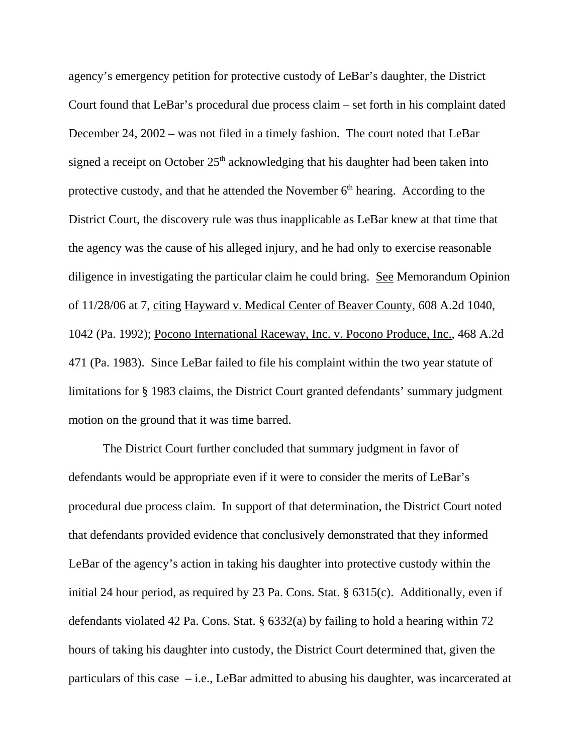agency's emergency petition for protective custody of LeBar's daughter, the District Court found that LeBar's procedural due process claim – set forth in his complaint dated December 24, 2002 – was not filed in a timely fashion. The court noted that LeBar signed a receipt on October  $25<sup>th</sup>$  acknowledging that his daughter had been taken into protective custody, and that he attended the November  $6<sup>th</sup>$  hearing. According to the District Court, the discovery rule was thus inapplicable as LeBar knew at that time that the agency was the cause of his alleged injury, and he had only to exercise reasonable diligence in investigating the particular claim he could bring. See Memorandum Opinion of 11/28/06 at 7, citing Hayward v. Medical Center of Beaver County, 608 A.2d 1040, 1042 (Pa. 1992); Pocono International Raceway, Inc. v. Pocono Produce, Inc., 468 A.2d 471 (Pa. 1983). Since LeBar failed to file his complaint within the two year statute of limitations for § 1983 claims, the District Court granted defendants' summary judgment motion on the ground that it was time barred.

The District Court further concluded that summary judgment in favor of defendants would be appropriate even if it were to consider the merits of LeBar's procedural due process claim. In support of that determination, the District Court noted that defendants provided evidence that conclusively demonstrated that they informed LeBar of the agency's action in taking his daughter into protective custody within the initial 24 hour period, as required by 23 Pa. Cons. Stat. § 6315(c). Additionally, even if defendants violated 42 Pa. Cons. Stat. § 6332(a) by failing to hold a hearing within 72 hours of taking his daughter into custody, the District Court determined that, given the particulars of this case  $-i.e.,$  LeBar admitted to abusing his daughter, was incarcerated at